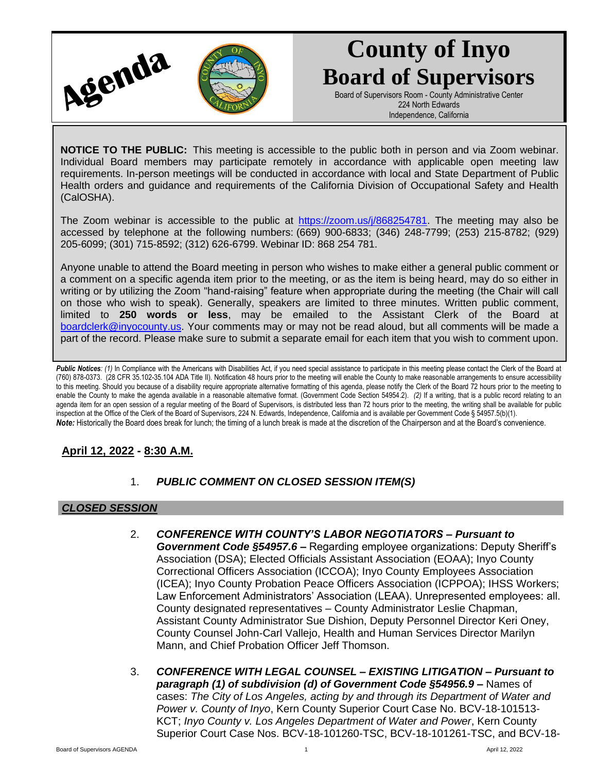

# **County of Inyo Board of Supervisors**

Board of Supervisors Room - County Administrative Center 224 North Edwards Independence, California

**NOTICE TO THE PUBLIC:** This meeting is accessible to the public both in person and via Zoom webinar. Individual Board members may participate remotely in accordance with applicable open meeting law requirements. In-person meetings will be conducted in accordance with local and State Department of Public Health orders and guidance and requirements of the California Division of Occupational Safety and Health (CalOSHA).

The Zoom webinar is accessible to the public at [https://zoom.us/j/868254781.](https://zoom.us/j/868254781) The meeting may also be accessed by telephone at the following numbers: (669) 900-6833; (346) 248-7799; (253) 215-8782; (929) 205-6099; (301) 715-8592; (312) 626-6799. Webinar ID: 868 254 781.

Anyone unable to attend the Board meeting in person who wishes to make either a general public comment or a comment on a specific agenda item prior to the meeting, or as the item is being heard, may do so either in writing or by utilizing the Zoom "hand-raising" feature when appropriate during the meeting (the Chair will call on those who wish to speak). Generally, speakers are limited to three minutes. Written public comment, limited to **250 words or less**, may be emailed to the Assistant Clerk of the Board at [boardclerk@inyocounty.us.](mailto:boardclerk@inyocounty.us) Your comments may or may not be read aloud, but all comments will be made a part of the record. Please make sure to submit a separate email for each item that you wish to comment upon.

Public Notices: (1) In Compliance with the Americans with Disabilities Act, if you need special assistance to participate in this meeting please contact the Clerk of the Board at (760) 878-0373. (28 CFR 35.102-35.104 ADA Title II). Notification 48 hours prior to the meeting will enable the County to make reasonable arrangements to ensure accessibility to this meeting. Should you because of a disability require appropriate alternative formatting of this agenda, please notify the Clerk of the Board 72 hours prior to the meeting to enable the County to make the agenda available in a reasonable alternative format. (Government Code Section 54954.2). *(2)* If a writing, that is a public record relating to an agenda item for an open session of a regular meeting of the Board of Supervisors, is distributed less than 72 hours prior to the meeting, the writing shall be available for public inspection at the Office of the Clerk of the Board of Supervisors, 224 N. Edwards, Independence, California and is available per Government Code § 54957.5(b)(1). *Note:* Historically the Board does break for lunch; the timing of a lunch break is made at the discretion of the Chairperson and at the Board's convenience.

# **April 12, 2022 - 8:30 A.M.**

1. *PUBLIC COMMENT ON CLOSED SESSION ITEM(S)*

# *CLOSED SESSION*

- 2. *CONFERENCE WITH COUNTY'S LABOR NEGOTIATORS – Pursuant to Government Code §54957.6 –* Regarding employee organizations: Deputy Sheriff's Association (DSA); Elected Officials Assistant Association (EOAA); Inyo County Correctional Officers Association (ICCOA); Inyo County Employees Association (ICEA); Inyo County Probation Peace Officers Association (ICPPOA); IHSS Workers; Law Enforcement Administrators' Association (LEAA). Unrepresented employees: all. County designated representatives – County Administrator Leslie Chapman, Assistant County Administrator Sue Dishion, Deputy Personnel Director Keri Oney, County Counsel John-Carl Vallejo, Health and Human Services Director Marilyn Mann, and Chief Probation Officer Jeff Thomson.
- 3. *CONFERENCE WITH LEGAL COUNSEL – EXISTING LITIGATION – Pursuant to paragraph (1) of subdivision (d) of Government Code §54956.9 –* Names of cases: *The City of Los Angeles, acting by and through its Department of Water and Power v. County of Inyo*, Kern County Superior Court Case No. BCV-18-101513- KCT; *Inyo County v. Los Angeles Department of Water and Power*, Kern County Superior Court Case Nos. BCV-18-101260-TSC, BCV-18-101261-TSC, and BCV-18-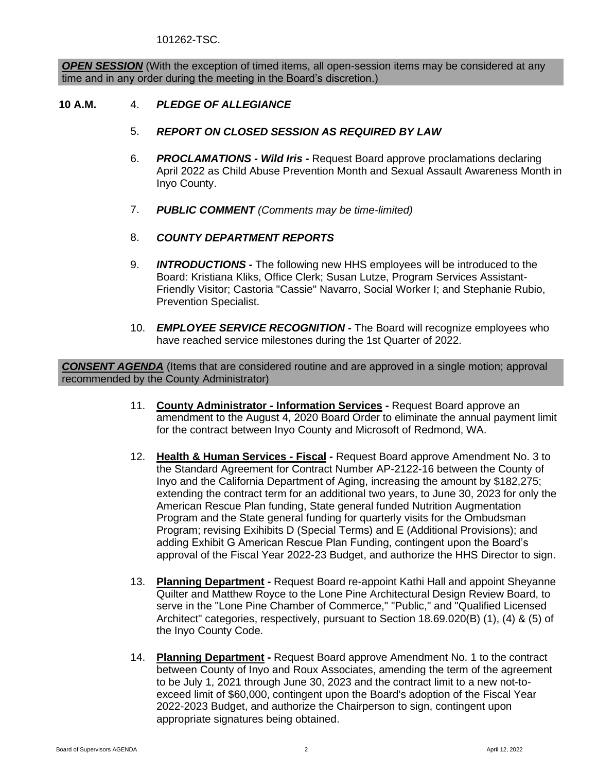101262-TSC.

**OPEN SESSION** (With the exception of timed items, all open-session items may be considered at any time and in any order during the meeting in the Board's discretion.)

#### **10 A.M.** 4. *PLEDGE OF ALLEGIANCE*

- 5. *REPORT ON CLOSED SESSION AS REQUIRED BY LAW*
- 6. *PROCLAMATIONS - Wild Iris -* Request Board approve proclamations declaring April 2022 as Child Abuse Prevention Month and Sexual Assault Awareness Month in Inyo County.
- 7. *PUBLIC COMMENT (Comments may be time-limited)*
- 8. *COUNTY DEPARTMENT REPORTS*
- 9. *INTRODUCTIONS -* The following new HHS employees will be introduced to the Board: Kristiana Kliks, Office Clerk; Susan Lutze, Program Services Assistant-Friendly Visitor; Castoria "Cassie" Navarro, Social Worker I; and Stephanie Rubio, Prevention Specialist.
- 10. *EMPLOYEE SERVICE RECOGNITION -* The Board will recognize employees who have reached service milestones during the 1st Quarter of 2022.

*CONSENT AGENDA* (Items that are considered routine and are approved in a single motion; approval recommended by the County Administrator)

- 11. **County Administrator - Information Services -** Request Board approve an amendment to the August 4, 2020 Board Order to eliminate the annual payment limit for the contract between Inyo County and Microsoft of Redmond, WA.
- 12. **Health & Human Services - Fiscal -** Request Board approve Amendment No. 3 to the Standard Agreement for Contract Number AP-2122-16 between the County of Inyo and the California Department of Aging, increasing the amount by \$182,275; extending the contract term for an additional two years, to June 30, 2023 for only the American Rescue Plan funding, State general funded Nutrition Augmentation Program and the State general funding for quarterly visits for the Ombudsman Program; revising Exihibits D (Special Terms) and E (Additional Provisions); and adding Exhibit G American Rescue Plan Funding, contingent upon the Board's approval of the Fiscal Year 2022-23 Budget, and authorize the HHS Director to sign.
- 13. **Planning Department -** Request Board re-appoint Kathi Hall and appoint Sheyanne Quilter and Matthew Royce to the Lone Pine Architectural Design Review Board, to serve in the "Lone Pine Chamber of Commerce," "Public," and "Qualified Licensed Architect" categories, respectively, pursuant to Section 18.69.020(B) (1), (4) & (5) of the Inyo County Code.
- 14. **Planning Department -** Request Board approve Amendment No. 1 to the contract between County of Inyo and Roux Associates, amending the term of the agreement to be July 1, 2021 through June 30, 2023 and the contract limit to a new not-toexceed limit of \$60,000, contingent upon the Board's adoption of the Fiscal Year 2022-2023 Budget, and authorize the Chairperson to sign, contingent upon appropriate signatures being obtained.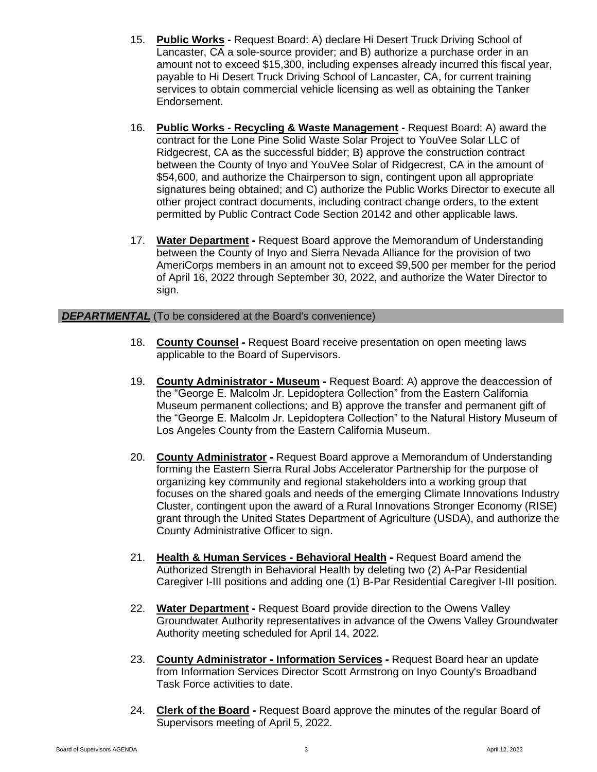- 15. **Public Works -** Request Board: A) declare Hi Desert Truck Driving School of Lancaster, CA a sole-source provider; and B) authorize a purchase order in an amount not to exceed \$15,300, including expenses already incurred this fiscal year, payable to Hi Desert Truck Driving School of Lancaster, CA, for current training services to obtain commercial vehicle licensing as well as obtaining the Tanker Endorsement.
- 16. **Public Works - Recycling & Waste Management -** Request Board: A) award the contract for the Lone Pine Solid Waste Solar Project to YouVee Solar LLC of Ridgecrest, CA as the successful bidder; B) approve the construction contract between the County of Inyo and YouVee Solar of Ridgecrest, CA in the amount of \$54,600, and authorize the Chairperson to sign, contingent upon all appropriate signatures being obtained; and C) authorize the Public Works Director to execute all other project contract documents, including contract change orders, to the extent permitted by Public Contract Code Section 20142 and other applicable laws.
- 17. **Water Department -** Request Board approve the Memorandum of Understanding between the County of Inyo and Sierra Nevada Alliance for the provision of two AmeriCorps members in an amount not to exceed \$9,500 per member for the period of April 16, 2022 through September 30, 2022, and authorize the Water Director to sign.

## **DEPARTMENTAL** (To be considered at the Board's convenience)

- 18. **County Counsel -** Request Board receive presentation on open meeting laws applicable to the Board of Supervisors.
- 19. **County Administrator - Museum -** Request Board: A) approve the deaccession of the "George E. Malcolm Jr. Lepidoptera Collection" from the Eastern California Museum permanent collections; and B) approve the transfer and permanent gift of the "George E. Malcolm Jr. Lepidoptera Collection" to the Natural History Museum of Los Angeles County from the Eastern California Museum.
- 20. **County Administrator -** Request Board approve a Memorandum of Understanding forming the Eastern Sierra Rural Jobs Accelerator Partnership for the purpose of organizing key community and regional stakeholders into a working group that focuses on the shared goals and needs of the emerging Climate Innovations Industry Cluster, contingent upon the award of a Rural Innovations Stronger Economy (RISE) grant through the United States Department of Agriculture (USDA), and authorize the County Administrative Officer to sign.
- 21. **Health & Human Services - Behavioral Health -** Request Board amend the Authorized Strength in Behavioral Health by deleting two (2) A-Par Residential Caregiver I-III positions and adding one (1) B-Par Residential Caregiver I-III position.
- 22. **Water Department -** Request Board provide direction to the Owens Valley Groundwater Authority representatives in advance of the Owens Valley Groundwater Authority meeting scheduled for April 14, 2022.
- 23. **County Administrator - Information Services -** Request Board hear an update from Information Services Director Scott Armstrong on Inyo County's Broadband Task Force activities to date.
- 24. **Clerk of the Board -** Request Board approve the minutes of the regular Board of Supervisors meeting of April 5, 2022.